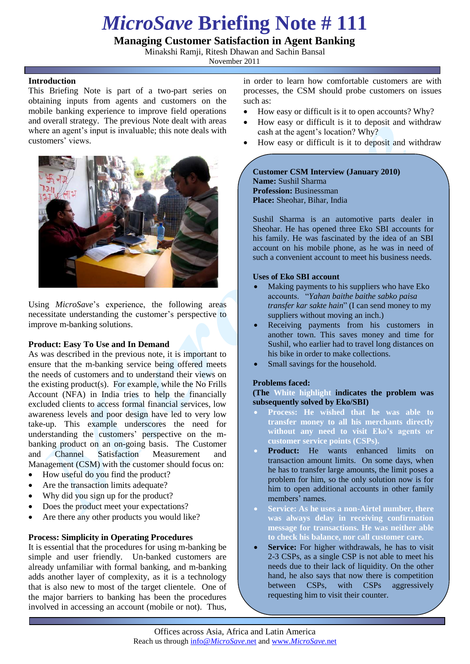# *MicroSave* **Briefing Note # 111**

# **Managing Customer Satisfaction in Agent Banking**

Minakshi Ramji, Ritesh Dhawan and Sachin Bansal

November 2011

## **Introduction**

This Briefing Note is part of a two-part series on obtaining inputs from agents and customers on the mobile banking experience to improve field operations and overall strategy. The previous Note dealt with areas where an agent's input is invaluable; this note deals with customers' views.



Using *MicroSave*"s experience, the following areas necessitate understanding the customer"s perspective to improve m-banking solutions.

# **Product: Easy To Use and In Demand**

As was described in the previous note, it is important to ensure that the m-banking service being offered meets the needs of customers and to understand their views on the existing product(s). For example, while the No Frills Account (NFA) in India tries to help the financially excluded clients to access formal financial services, low awareness levels and poor design have led to very low take-up. This example underscores the need for understanding the customers' perspective on the mbanking product on an on-going basis. The Customer and Channel Satisfaction Measurement and Management (CSM) with the customer should focus on:

- How useful do you find the product?
- Are the transaction limits adequate?
- Why did you sign up for the product?
- Does the product meet your expectations?
- Are there any other products you would like?

#### **Process: Simplicity in Operating Procedures**

It is essential that the procedures for using m-banking be simple and user friendly. Un-banked customers are already unfamiliar with formal banking, and m-banking adds another layer of complexity, as it is a technology that is also new to most of the target clientele. One of the major barriers to banking has been the procedures involved in accessing an account (mobile or not). Thus,

in order to learn how comfortable customers are with processes, the CSM should probe customers on issues such as:

- How easy or difficult is it to open accounts? Why?
- How easy or difficult is it to deposit and withdraw cash at the agent"s location? Why?
- How easy or difficult is it to deposit and withdraw

#### **Customer CSM Interview (January 2010) Name:** Sushil Sharma **Profession:** Businessman **Place:** Sheohar, Bihar, India

Sushil Sharma is an automotive parts dealer in Sheohar. He has opened three Eko SBI accounts for his family. He was fascinated by the idea of an SBI account on his mobile phone, as he was in need of such a convenient account to meet his business needs.

#### **Uses of Eko SBI account**

- Making payments to his suppliers who have Eko accounts. "*Yahan baithe baithe sabko paisa transfer kar sakte hain*" (I can send money to my suppliers without moving an inch.)
- Receiving payments from his customers in another town. This saves money and time for Sushil, who earlier had to travel long distances on his bike in order to make collections.
- Small savings for the household.

#### **Problems faced:**

**(The White highlight indicates the problem was subsequently solved by Eko/SBI)**

- **Process: He wished that he was able to transfer money to all his merchants directly without any need to visit Eko's agents or customer service points (CSPs).**
- **Product:** He wants enhanced limits on transaction amount limits. On some days, when he has to transfer large amounts, the limit poses a problem for him, so the only solution now is for him to open additional accounts in other family members' names.
- **Service: As he uses a non-Airtel number, there was always delay in receiving confirmation message for transactions. He was neither able to check his balance, nor call customer care.**
- Service: For higher withdrawals, he has to visit 2-3 CSPs, as a single CSP is not able to meet his needs due to their lack of liquidity. On the other hand, he also says that now there is competition between CSPs, with CSPs aggressively requesting him to visit their counter.